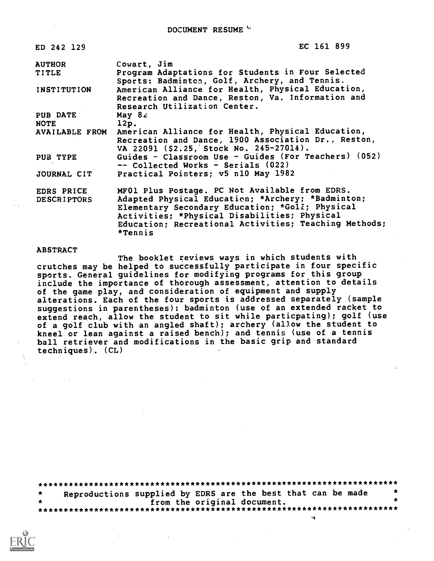| ED 242 129                       | EC 161 899                                                                                                                                                                                                                                                                 |
|----------------------------------|----------------------------------------------------------------------------------------------------------------------------------------------------------------------------------------------------------------------------------------------------------------------------|
| <b>AUTHOR</b>                    | Cowart, Jim                                                                                                                                                                                                                                                                |
| TITLE                            | Program Adaptations for Students in Four Selected<br>Sports: Badminton, Golf, Archery, and Tennis.                                                                                                                                                                         |
| <b>INSTITUTION</b>               | American Alliance for Health, Physical Education,<br>Recreation and Dance, Reston, Va. Information and<br>Research Utilization Center.                                                                                                                                     |
| <b>PUB DATE</b>                  | May $82$                                                                                                                                                                                                                                                                   |
| <b>NOTE</b>                      | 12p.                                                                                                                                                                                                                                                                       |
| AVAILABLE FROM                   | American Alliance for Health, Physical Education,<br>Recreation and Dance, 1900 Association Dr., Reston,<br>VA 22091 (\$2.25, Stock No. 245-27014).                                                                                                                        |
| PUB TYPE                         | Guides - Classroom Use - Guides (For Teachers) (052)<br>-- Collected Works - Serials (022)                                                                                                                                                                                 |
| JOURNAL CIT                      | Practical Pointers; v5 n10 May 1982                                                                                                                                                                                                                                        |
| EDRS PRICE<br><b>DESCRIPTORS</b> | MF01 Plus Postage. PC Not Available from EDRS.<br>Adapted Physical Education; *Archery; *Badminton;<br>Elementary Secondary Education; *Golf; Physical<br>Activities; *Physical Disabilities; Physical<br>Education; Recreational Activities; Teaching Methods;<br>*Tennis |

# **ABSTRACT**

The booklet reviews ways in which students with crutches may be helped to successfully participate in four specific sports. General guidelines for modifying programs for this group include the importance of thorough assessment, attention to details of the game play, and consideration of equipment and supply alterations. Each of the four sports is addressed separately (sample suggestions in parentheses): badminton (use of an extended racket to extend reach, allow the student to sit while particpating); golf (use of a golf club with an angled shaft); archery (allow the student to kneel or lean against a raised bench); and tennis (use of a tennis ball retriever and modifications in the basic grip and standard  $techniques)$ .  $CL)$ 

| $\star$ | Reproductions supplied by EDRS are the best that can be made |  |  | 大 |
|---------|--------------------------------------------------------------|--|--|---|
|         | from the original document.                                  |  |  |   |
|         |                                                              |  |  |   |
|         |                                                              |  |  |   |

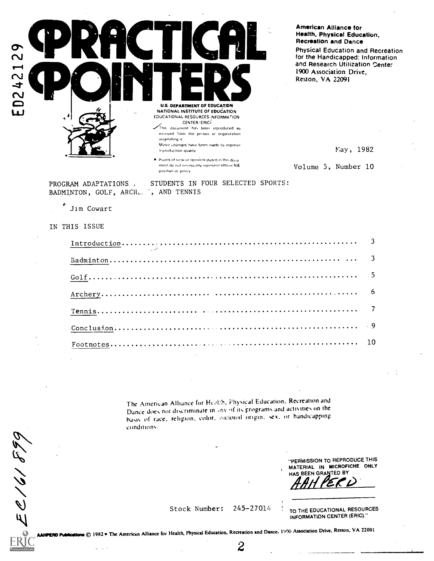

American Alliance for Health, Physical Education, **Recreation and Dance** 

**Physical Education and Recreation** for the Handicapped: Information and Research Utilization Center 1900 Association Drive, Reston, VA 22091

Nay, 1982

Volume 5, Number 10

STUDENTS IN FOUR SELECTED SPORTS: PROGRAM ADAPTATIONS BADMINTON, GOLF, ARCH. ; AND TENNIS

position or policy.

ment do not necess inly represent official NIE

Jim Cowart

#### IN THIS ISSUE

EC161899

The American Alliance for Health, Physical Education, Recreation and Dance does not discriminate in any of its programs and activities on the basis of race, religion, color, oational origin, sex, or handicapping conditions.

> "PERMISSION TO REPRODUCE THIS MATERIAL IN MICROFICHE ONLY HAS BEEN GRANTED BY

245-27014 Stock Number:

TO THE EDUCATIONAL RESOURCES INFORMATION CENTER (ERIC)."

**HPERD Publications** © 1982 • The American Alliance for Health, Physical Education, Recreation and Dance, 1990 Association Drive, Reston, VA 22091

 $\boldsymbol{2}$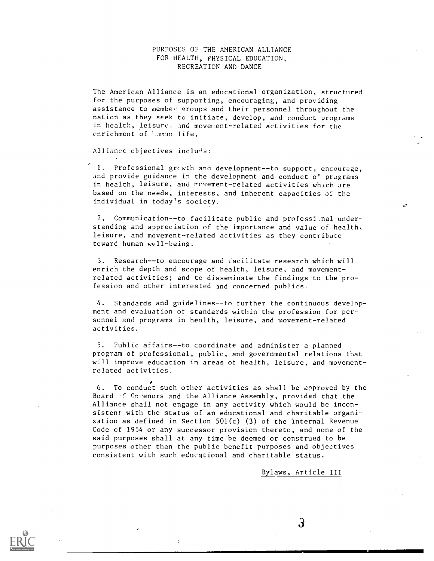# PURPOSES OF THE AMERICAN ALLIANCE FOR HEALTH, PHYSICAL EDUCATION, RECREATION AND DANCE

The American Alliance is an educational organization, structured for the purposes of supporting, encouraging, and providing assistance to member groups and their personnel throughout the nation as they seek to initiate, develop, and conduct programs in health, leisure, and movement-related activities for the enrichment of 1.aman life.

Alliance objectives include:

1. Professional  $grc$  wth and development--to support, encourage, and provide guidance in the development and conduct of programs in health, leisure, and movement-related activities which are based on the needs, interests, and inherent capacities of the individual in today's society.

2. Communication--to facilitate public and professional understanding and appreciation of the importance and value of health, leisure, and movement-related activities as they contribute toward human well-being.

3. Research--to encourage and facilitate research which will enrich the depth and scope of health, leisure, and movementrelated activities; and to disseminate the findings to the profession and other interested and concerned publics.

4. Standards and guidelines--to further the continuous development and evaluation of standards within the profession for personnel and programs in health, leisure, and movement-related activities.

5. Public affairs--to coordinate and administer a planned program of professional, public, and governmental relations that will improve education in areas of health, leisure, and movementrelated activities.

6. To conduct such other activities as shall be approved by the Board 'f Govenors and the Alliance Assembly, provided that the Alliance shall not engage in any activity which would be inconsistent with the status of an educational and charitable organization as defined in Section 501(c)  $(3)$  of the Internal Revenue Code of 1954 or any successor provision thereto, and none of the said purposes shall at any time be deemed or construed to be purposes other than the public benefit purposes and objectives consistent with such educational and charitable status.

Bylaws, Article III

 $\mathcal{S}$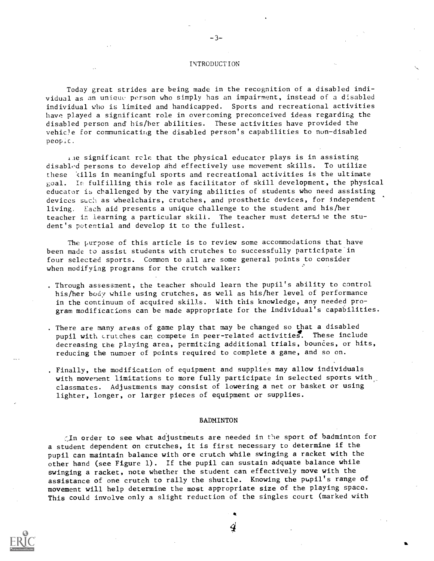#### INTRODUCTION

-3-

Today great strides are being made in the recognition of a disabled individual as an unique person who simply has an impairment, instead of a disabled individual who is limited and handicapped. Sports and recreational activities have played a significant role in overcoming preconceived ideas regarding the disabled person and his/her abilities. These activities have provided the vehicle for communicating the disabled person's capabilities to nun-disabled peopic.

ile significant rcle that the physical educator plays is in assisting disablod persons to develop and effectively use movement skills. To utilize these kills in meaningful sports and recreational activities is the ultimate goal. In fulfilling this role as facilitator of skill development, the physical educator is challenged by the varying abilities of students who need assisting devices such as wheelchairs, crutches, and prosthetic devices, for independent living. Each aid presents a unique challenge to the student and his/her teacher in learning a particular skill. The teacher must determile the student's potential and develop it to the fullest.

The purpose of this article is to review some accommodations that have been made to assist students with crutches to successfully participate in four selected sports. Common to all are some general points to consider when modifying programs for the crutch walker:

- . Through assessment, the teacher should learn the pupil's ability to control his/her body while using crutches, as well as his/her level of performance in the continuum of acquired skills. With this knowledge, any needed program modifications can be made appropriate for the individual's capabilities.
- . There are many areas of game play that may be changed so that a disabled pupil with crutches can compete in peer-related activities. These include decreasing the playing area, permitting additional trials, bounces, or hits, reducing the numper of points required to complete a game, and so on.
- . Finally, the modification of equipment and supplies may allow individuals with movement limitations to more fully participate in selected sports with classmates. Adjustments may consist of lowering a net or basket or using lighter, longer, or larger pieces of equipment or supplies.

#### BADMINTON

In order to see what adjustments are needed in the sport of badminton for a student dependent on crutches, it is first necessary to determine if the pupil can maintain balance with ore crutch while swinging a racket with the other hand (see Figure 1). If the pupil can sustain adquate balance while swinging a racket, note whether the student can effectively move with the assistance of one crutch to rally the shuttle. Knowing the pupil's range of movement will help determine the most appropriate size of the playing space. This could involve only a slight reduction of the singles court (marked with

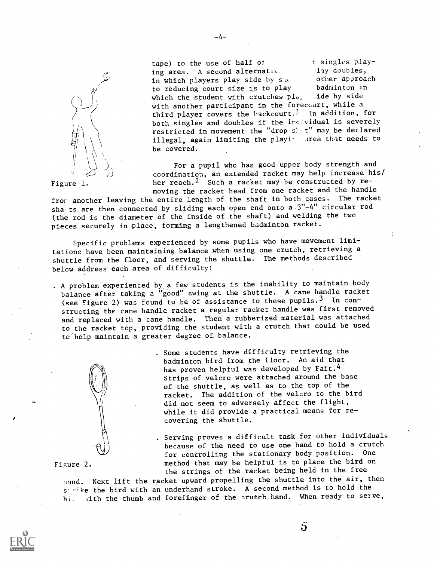

tape) to the use of half of r singles play-<br>ine area. A second alternative lay doubles, ing area. A second alternative alay doubles,<br>in which players play side by such a other approach in which players play side by such the order approach in the reducing court size is to play the badminton in to reducing court size is to play badminton in<br>which the student with crutches play side by side which the student with crutches  $pla$ , with another participant in the forecourt, while a third player covers the hackcourt.<sup>1</sup> In addition, for both singles and doubles if the ircividual is severely restricted in movement the "drop s' t" may be declared illegal, again limiting the playi- Area that needs to be covered.

For a pupil who has good upper body strength and coordination, an extended racket may help increase his/ her reach.<sup>2</sup> Such a racket may be constructed by removing the racket head from one racket and the handle

fror another leaving the entire length of the shaft in both cases. The racket sha ts are then connected by sliding each open end onto a  $3"$ -4" circular rod (the rod is the diameter of the inside of the shaft) and welding the two pieces securely in place, forming a lengthened badminton racket.

Specific problems experienced by some pupils who have movement limitations have been maintaining balance when using one crutch, retrieving a shuttle from the floor, and serving the shuttle. The methods described below address' each area of difficulty:

. A problem experienced by.a few students is the inability to maintain body balance after taking a "good" swing at the shuttle. A cane handle racket (see Figure 2) was found to be of assistance to these pupils.3 In constructing the cane handle racket a regular racket handle was first removed and replaced with a cane handle. Then a rubberized material was attached to the racket top, providing the student with a crutch that could be used to help maintain a greater degree of balance.



. Some students have difficulty retrieving the badminton bird from the floor. An aid that has proven helpful was developed by Fait.<sup>4</sup> Strips of velcro were attached around the base of the shuttle, as well as to the top of the racket. The addition of the velcro to the bird did not seem to adversely affect the flight, while it did provide a practical means for recovering the shuttle.

. Serving proves a difficult task for other individuals because of the need to use one hand to hold a crutch for controlling the stationary body position. One Figure 2. method that may be helpful is to place the bird on the strings of the racket being held in the free

5

hand. Next lift the racket upward propelling the shuttle into the air, then <sup>s</sup> 'ike the bird with an underhand stroke. A second method is to hold the bi. with the thumb and forefinger of the erutch hand. When ready to serve,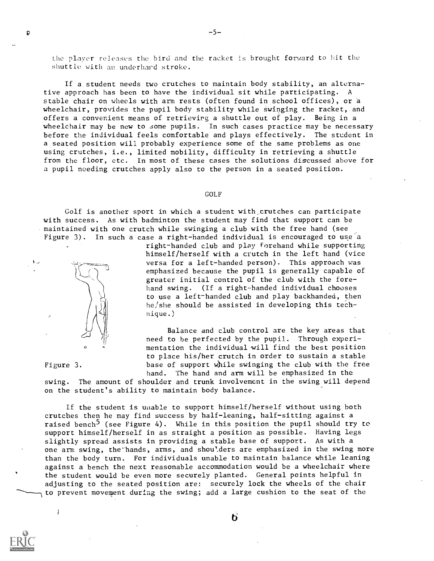the player releases the bird and the racket is brought forward to hit the shuttle with an underhard stroke.

If a student needs two crutches to maintain body stability, an alternative approach has been to have the individual sit while participating. A stable chair on wheels with arm rests (often found in school offices), or a wheelchair, provides the pupil body stability while swinging the racket, and offers a convenient means of retrieving a shuttle out of play. Being in a wheelchair may be new to some pupils. In such cases practice may be necessary before the individual feels comfortable and plays effectively. The student in a seated position will probably experience some of the same problems as one using crutches, i.e., limited mobility, difficulty in retrieving a shuttle from the floor, etc. In most of these cases the solutions discussed above for a pupil needing crutches apply also to the person in a seated position.

#### GOLF

Golf is another sport in which a student with,crutches can participate with success. As with badminton the student may find that support can be maintained with one crutch while swinging a club with the free hand (see Figure 3). In such a case a right-handed individual is encouraged to use a



right-handed club and play forehand while supporting himself/herself with a crutch in the left hand (vice versa for a left-handed person). This approach was emphasized because the pupil is generally capable of greater initial control of the club with the forehand swing. (If a right-handed individual chooses to use a left-handed club and play backhanded, then he/she should be assisted in developing this technique.)

Balance and club control are the key areas that need to be perfected by the pupil. Through experimentation the individual will find the best position to place his/her crutch in order to sustain a stable base of support while swinging the club with the free hand. The hand and arm will be emphasized in the

# Figure 3.

 $\left\lbrack \right.$ 

swing. The amount of shoulder and trunk involvement in the swing will depend on the student's ability to maintain body balance.

If the student is unable to support himself/herself without using both crutches then he may find success by half-leaning, half-sitting against a raised bench<sup>5</sup> (see Figure 4). While in this position the pupil should try to support himself/herself in as straight a position as possible. Having legs slightly spread assists in providing a stable base of support. As with a one arm swing, the hands, arms, and shoulders are emphasized in the swing more than the body turn. For individuals unable to maintain balance while leaning against a bench the next reasonable accommodation would be a wheelchair where the student would be even more securely planted. General points helpful in adjusting to the seated position are: securely lock the wheels of the chair to prevent movement during the swing; add a large cushion to the seat of the

6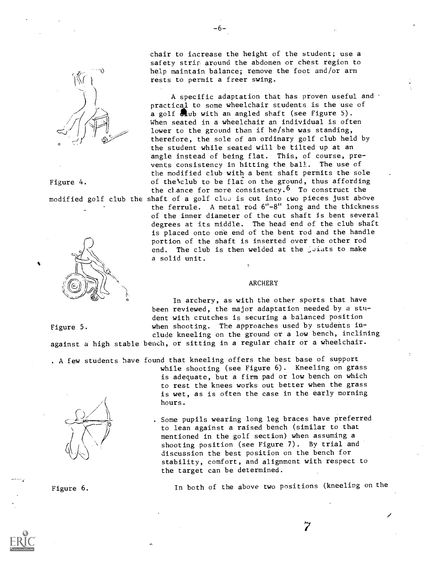

Figure 4.

Figure 5.



chair to increase the height of the student; use a safety strip around the abdomen or chest region to help maintain balance; remove the foot and/or arm rests to permit a freer swing.

A specific adaptation that has proven useful and practical to some wheelchair students is the use of a golf  $\blacksquare$ ub with an angled shaft (see Figure 5). When seated in a wheelchair an individual is often lower to the ground than if he/she was standing, therefore, the sole of an ordinary golf club held by the student while seated will be tilted up at an angle instead of being flat. This, of course, prevents consistency in hitting the ball. The use of the modified club with a bent shaft permits the sole of the'club to be flat on the ground, thus affording the chance for more consistency.<sup>6</sup> To construct the modified golf club the shaft of a golf club is cut into  $\mathfrak c$  wo pieces just above the ferrule. A metal rod 6"-8" long and the thickness of the inner diameter of the cut shaft is bent several degrees at its middle. The head end of the club shaft is placed onto one end of the bent rod and the handle portion of the shaft is inserted over the other rod end. The club is then welded at the joints to make a solid unit.

#### ARCHERY

In archery, as with the other sports that have been reviewed, the major adaptation needed by a student with crutches is securing a balanced position when shooting. The approaches used by students include kneeling on the ground or a low bench, inclining against a high stable bench, or sitting in a regular chair or a wheelchair.

. A few students have found that kneeling offers the best base of support



while shooting (see Figure 6). Kneeling on grass is adequate, but a firm pad or low bench on which to rest the knees works out better when the grass is wet, as is often the case in the early morning hours.

. Some pupils wearing long leg braces have preferred to lean against a raised bench (similar to that mentioned in the golf section) when assuming a shooting position (see Figure 7). By trial and discussion the best position on the bench for stability, comfort, and alignment with respect to the target can be determined.

Figure 6. In both of the above two positions (kneeling on the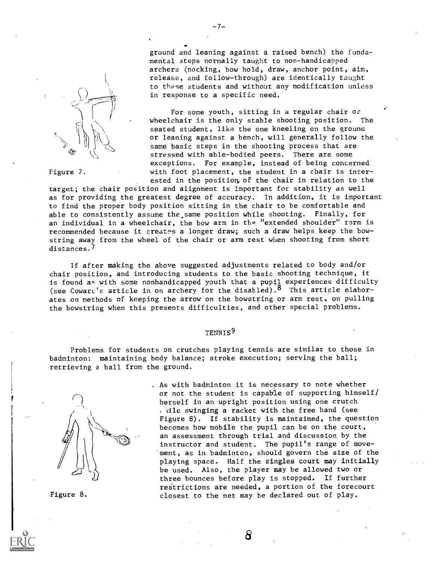

Figure 7.

ground and leaning against a raised bench) the fundamental steps normally taught to non-handicapped archers (nocking, bow hold, draw, anchor point, aim, release, and follow-through) are identically taught to these students and without any modification unless in response to a specific need.

For some youth, sitting in a regular chair or wheelchair is the only stable shooting position. The seated student, like the one kneeling on the ground or leaning against a bench, will generally follow the same basic steps in the shooting process that are stressed with able-bodied peers. There are some exceptions. For example, instead of being concerned with foot placement, the student in a chair is interested in the position, of the chair in relation to the

target; the chair position and alignment is important for stability as well as for providing the greatest degree of accuracy. In addition, it is important to find the proper body position sitting in the chair to be comfortable and able to consistently assume the same position while shooting. Finally, for an individual in a wheelchair, the bow arm in the "extended shoulder" torm is recommended because it creates a longer draw; such a draw helps keep the bowstring away from the wheel of the chair or arm rest when shooting from short distances.<sup>/</sup>

If after making the above suggested adjustments related to body and/or chair position, and introducing students to the basic shooting technique, it is found as with some nonhandicapped youth that a pupil experiences difficulty (see Cowart's article in on archery for the disabled).<sup>8</sup> This article elaborates on methods of keeping the arrow on the bowstring or arm rest, on pulling the bowstring when this presents difficulties, and other special problems.

# TENNIS9

Problems for students on crutches playing tennis are similar to those in badminton: maintaining body balance; stroke execution; serving the ball; retrieving a ball from the ground.



Figure 8.

. As with badminton it is necessary to note whether or not the student is capable of supporting himself/ herself in an upright position using one crutch wille swinging a racket with the free hand (see Figure 8). If stability is maintained, the question becomes how mobile the pupil can be on the court, an assessment through trial and discussion by the instructor and student. The pupil's range of movement, as in badminton, should govern the size of the playing space. Half the singles court may initially be used. Also, the player may be allowed two or three bounces before play is stopped. If further restrictions are needed, a portion of the forecourt closest to the net may be declared out of play.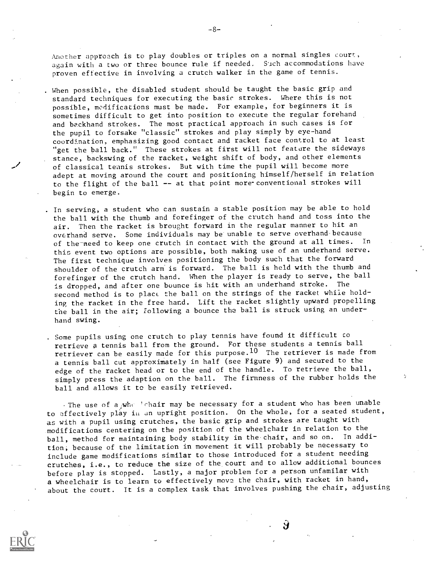Another approach is to play doubles or triples on a normal singles court, again with a two or three bounce rule if needed. Such accommodations have proven effective in involving a crutch walker in the game of tennis.

. When possible, the disabled student should be taught the basic grip and standard techniques for executing the basic strokes. Where this is not possible, modifications must be made. For example, for beginners it is sometimes difficult to get into position to execute the regular forehand and backhand strokes. The most practical approach in such cases is for the pupil to forsake "classic" strokes and play simply by eye-hand coordination, emphasizing good contact and racket face control to at least "get the ball back." These strokes at first will not feature the sideways stance, backswing of the racket, weight shift of body, and other elements of classical tennis strokes. But with time the pupil will become more adept at moving around the court and positioning himself/herself in relation to the flight of the ball -- at that point more conventional strokes will begin to emerge.

. In serving, a student who can sustain a stable position may be able to hold the ball with the thumb and forefinger of the crutch hand and toss into the air. Then the racket is brought forward in the regular manner to hit an overhand serve. Some individuals may be unable to serve overhand because<br>of the need to keep one crutch in contact with the ground at all times. In of the need to keep one crutch in contact with the ground at all times. this event two options are possible, both making use of an underhand serve. The first technique involves positioning the body such that the forward shoulder of the crutch arm is forward. The ball is held with the thumb and forefinger of the crutch hand. When the player is ready to serve, the ball is dropped, and after one bounce is hit with an underhand stroke. The second method is to plact the ball on the strings of the racket while holding the racket in the free hand. Lift the racket slightly upward propelling the ball in the air; following a bounce the ball is struck using an underhand swing.

. Some pupils using one crutch to play tennis have found it difficult co retrieve a tennis ball from the ground. For these students a tennis ball retriever can be easily made for this purpose.<sup>10</sup> The retriever is made from a tennis ball cut approximately in half (see Figure 9) and secured to the edge of the racket head or to the end of the handle. To retrieve the ball, simply press the adaption on the ball. The firmness of the rubber holds the ball and allows it to be easily retrieved.

The use of a who lehair may be necessary for a student who has been unable to effectively play in an upright position. On the whole, for a seated student, as with a pupil using crutches, the basic grip and strokes are taught with modifications centering on the position of the wheelchair in relation to the ball, method for maintaining body stability in the chair, and so on. In addition; because of the limitation in movement it will probably be necessary to include game modifications similar to those introduced for a student needing crutches, i.e., to reduce the size of the court and to allow additional bounces before play is stopped. Lastly, a major problem for a person unfamilar with a wheelchair is to learn to effectively move the chair, with racket in hand, about the court. It is a complex task that involves pushing the chair, adjusting

У



-8-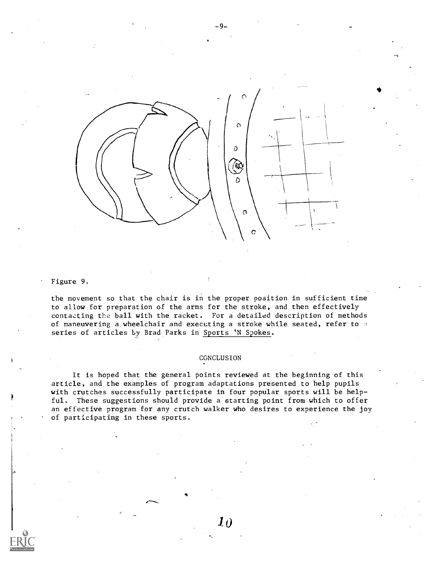

Figure 9.

the movement so that the chair is in the proper position in sufficient time to allow for preparation of the arms for the stroke, and then effectively contacting the ball with the racket. For a detailed description of methods of maneuvering a wheelchair and executing a stroke while seated, refer to a series of articles by Brad Parks in Sports 'N Spokes.

## CGNCLUSION

 $\bm{10}$ 

It is hoped that the general points reviewed at the beginning of this article, and the examples of program adaptations presented to help pupils with crutches successfully participate in four popular sports will be help ful. These suggestions should provide a starting point from which to offer an effective program for any crutch walker who desires to experience the joy of participating in these sports.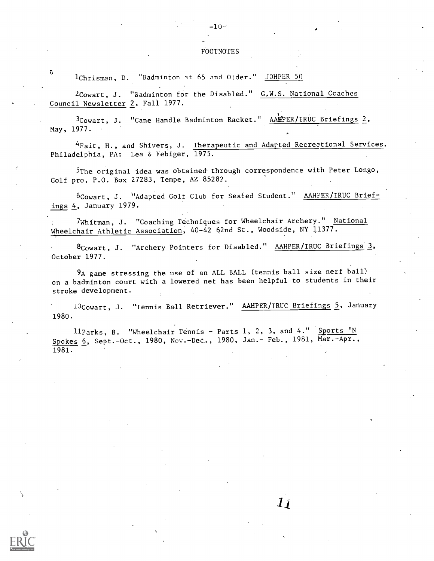$-10-$ 

EOOTNOTES<br>3<br>2 1Chrisman, D. "Badminton at 65 and Older." JOHPER 50

2Cowart, J. "Badminton for the Disabled." G.W.S. National Coaches Council Newsletter 2, Fall 1977.

3Cowart, J. "Cane Handle Badminton Racket." AAIPER/IRUC Briefings 2, May, 1977.

<sup>4</sup>Fait, H., and Shivers, J. <u>Therapeutic and Adapted Recreational Services</u>. Philadelphia, PA: Lea & Febiger, 1975.

SThe original idea was obtained- through correspondence with Peter Longo, Golf pro, P.O. Box 27283, Tempe, AZ 85282.

6Cowart, J. "Adapted Golf Club for Seated Student." AAHPER/IRUC Briefings 4, January 1979.

7Whitman, J. "Coaching Techniques for Wheelchair Archery." National Wheelchair Athletic Association, 40-42 62nd St., Woodside, NY 11377.

8Cowart, J. "Archery Pointers for Disabled." AAHPER/IRUC Briefings 3, October 1977.

9A game stressing the use of an ALL BALL (tennis ball size nerf ball) on a badminton court with a lowered net has been helpful to students in their stroke development.

10Cowart, J. "Tennis Ball Retriever." AAHPER/IRUC Briefings 5, January 1980.

 $\bm{l}$   $\bm{l}$ 

llParks, B. "Wheelchair Tennis - Parts 1, 2, 3, and 4." Sports 'N Spokes 6, Sept.-Oct., 1980, Nov.-Dec., 1980, Jan.- Feb., 1981, Mar.-Apr., 1981.